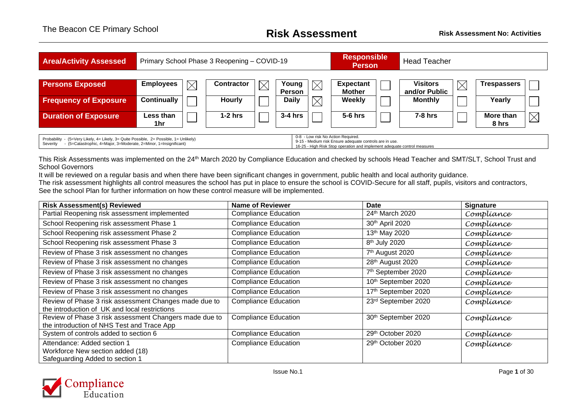| <b>Area/Activity Assessed</b>                                                                                                                                                                                                                                                                                                                       |                    |             | Primary School Phase 3 Reopening - COVID-19 |             |                 |             | <b>Responsible</b><br><b>Person</b> |  | <b>Head Teacher</b>              |             |                    |          |
|-----------------------------------------------------------------------------------------------------------------------------------------------------------------------------------------------------------------------------------------------------------------------------------------------------------------------------------------------------|--------------------|-------------|---------------------------------------------|-------------|-----------------|-------------|-------------------------------------|--|----------------------------------|-------------|--------------------|----------|
| <b>Persons Exposed</b>                                                                                                                                                                                                                                                                                                                              | <b>Employees</b>   | $\boxtimes$ | Contractor                                  | $\boxtimes$ | Young<br>Person | $\times$    | <b>Expectant</b><br><b>Mother</b>   |  | <b>Visitors</b><br>and/or Public | $\boxtimes$ | Trespassers        |          |
| <b>Frequency of Exposure</b>                                                                                                                                                                                                                                                                                                                        | <b>Continually</b> |             | Hourly                                      |             | <b>Daily</b>    | $\boxtimes$ | Weekly                              |  | <b>Monthly</b>                   |             | Yearly             |          |
| <b>Duration of Exposure</b>                                                                                                                                                                                                                                                                                                                         | Less than<br>1hr   |             | $1-2$ hrs                                   |             | $3-4$ hrs       |             | $5-6$ hrs                           |  | <b>7-8 hrs</b>                   |             | More than<br>8 hrs | $\times$ |
| 0-8 - Low risk No Action Required.<br>Probability - (5=Very Likely, 4= Likely, 3= Quite Possible, 2= Possible, 1= Unlikely)<br>9-15 - Medium risk Ensure adequate controls are in use.<br>- (5=Catastrophic, 4=Major, 3=Moderate, 2=Minor, 1=Insignificant)<br>Severity<br>16-25 - High Risk Stop operation and implement adequate control measures |                    |             |                                             |             |                 |             |                                     |  |                                  |             |                    |          |

This Risk Assessments was implemented on the 24<sup>th</sup> March 2020 by Compliance Education and checked by schools Head Teacher and SMT/SLT, School Trust and School Governors

It will be reviewed on a regular basis and when there have been significant changes in government, public health and local authority guidance. The risk assessment highlights all control measures the school has put in place to ensure the school is COVID-Secure for all staff, pupils, visitors and contractors, See the school Plan for further information on how these control measure will be implemented.

| <b>Risk Assessment(s) Reviewed</b>                                                                     | <b>Name of Reviewer</b>     | Date                        | <b>Signature</b> |
|--------------------------------------------------------------------------------------------------------|-----------------------------|-----------------------------|------------------|
| Partial Reopening risk assessment implemented                                                          | <b>Compliance Education</b> | 24th March 2020             | Compliance       |
| School Reopening risk assessment Phase 1                                                               | <b>Compliance Education</b> | 30th April 2020             | Compliance       |
| School Reopening risk assessment Phase 2                                                               | <b>Compliance Education</b> | 13 <sup>th</sup> May 2020   | Compliance       |
| School Reopening risk assessment Phase 3                                                               | <b>Compliance Education</b> | 8 <sup>th</sup> July 2020   | Compliance       |
| Review of Phase 3 risk assessment no changes                                                           | <b>Compliance Education</b> | 7 <sup>th</sup> August 2020 | Compliance       |
| Review of Phase 3 risk assessment no changes                                                           | <b>Compliance Education</b> | 28th August 2020            | Compliance       |
| Review of Phase 3 risk assessment no changes                                                           | <b>Compliance Education</b> | 7th September 2020          | Compliance       |
| Review of Phase 3 risk assessment no changes                                                           | <b>Compliance Education</b> | 10th September 2020         | Compliance       |
| Review of Phase 3 risk assessment no changes                                                           | <b>Compliance Education</b> | 17th September 2020         | Compliance       |
| Review of Phase 3 risk assessment Changes made due to<br>the introduction of UK and local restrictions | <b>Compliance Education</b> | 23rd September 2020         | Compliance       |
| Review of Phase 3 risk assessment Changers made due to<br>the introduction of NHS Test and Trace App   | <b>Compliance Education</b> | 30th September 2020         | Compliance       |
| System of controls added to section 6                                                                  | <b>Compliance Education</b> | 29th October 2020           | Compliance       |
| Attendance: Added section 1<br>Workforce New section added (18)<br>Safeguarding Added to section 1     | <b>Compliance Education</b> | 29th October 2020           | Compliance       |

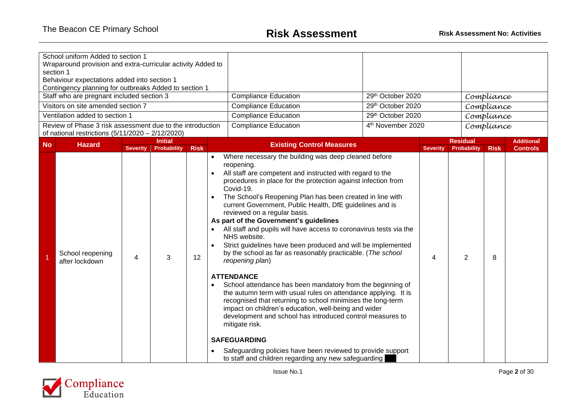|           | School uniform Added to section 1<br>Wraparound provision and extra-curricular activity Added to<br>section 1<br>Behaviour expectations added into section 1<br>Contingency planning for outbreaks Added to section 1<br>Staff who are pregnant included section 3<br>Visitors on site amended section 7 |                 |                    |                                           | <b>Compliance Education</b><br><b>Compliance Education</b>                                                                                                                                                                                                                                                                                                                                                                                                                                                                                                                                                                                                                                                                                                                                                                                                                                                                                                                                                                                                                                                | 29th October 2020<br>29th October 2020 |                 |                    | Compliance<br>Compliance |                   |
|-----------|----------------------------------------------------------------------------------------------------------------------------------------------------------------------------------------------------------------------------------------------------------------------------------------------------------|-----------------|--------------------|-------------------------------------------|-----------------------------------------------------------------------------------------------------------------------------------------------------------------------------------------------------------------------------------------------------------------------------------------------------------------------------------------------------------------------------------------------------------------------------------------------------------------------------------------------------------------------------------------------------------------------------------------------------------------------------------------------------------------------------------------------------------------------------------------------------------------------------------------------------------------------------------------------------------------------------------------------------------------------------------------------------------------------------------------------------------------------------------------------------------------------------------------------------------|----------------------------------------|-----------------|--------------------|--------------------------|-------------------|
|           | Ventilation added to section 1                                                                                                                                                                                                                                                                           |                 |                    |                                           | <b>Compliance Education</b>                                                                                                                                                                                                                                                                                                                                                                                                                                                                                                                                                                                                                                                                                                                                                                                                                                                                                                                                                                                                                                                                               | 29th October 2020                      |                 |                    | Compliance               |                   |
|           | Review of Phase 3 risk assessment due to the introduction<br>of national restrictions (5/11/2020 - 2/12/2020)                                                                                                                                                                                            |                 |                    |                                           | <b>Compliance Education</b>                                                                                                                                                                                                                                                                                                                                                                                                                                                                                                                                                                                                                                                                                                                                                                                                                                                                                                                                                                                                                                                                               | 4 <sup>th</sup> November 2020          |                 |                    | Compliance               |                   |
| <b>No</b> | <b>Hazard</b>                                                                                                                                                                                                                                                                                            |                 | <b>Initial</b>     |                                           | <b>Existing Control Measures</b>                                                                                                                                                                                                                                                                                                                                                                                                                                                                                                                                                                                                                                                                                                                                                                                                                                                                                                                                                                                                                                                                          |                                        |                 | <b>Residual</b>    |                          | <b>Additional</b> |
|           |                                                                                                                                                                                                                                                                                                          | <b>Severity</b> | <b>Probability</b> | <b>Risk</b><br>$\bullet$                  | Where necessary the building was deep cleaned before                                                                                                                                                                                                                                                                                                                                                                                                                                                                                                                                                                                                                                                                                                                                                                                                                                                                                                                                                                                                                                                      |                                        | <b>Severity</b> | <b>Probability</b> | <b>Risk</b>              | <b>Controls</b>   |
|           | School reopening<br>after lockdown                                                                                                                                                                                                                                                                       | 4               | 3                  | $\bullet$<br>$\bullet$<br>12<br>$\bullet$ | reopening.<br>All staff are competent and instructed with regard to the<br>procedures in place for the protection against infection from<br>Covid-19.<br>The School's Reopening Plan has been created in line with<br>current Government, Public Health, DfE guidelines and is<br>reviewed on a regular basis.<br>As part of the Government's guidelines<br>All staff and pupils will have access to coronavirus tests via the<br>NHS website.<br>Strict guidelines have been produced and will be implemented<br>by the school as far as reasonably practicable. (The school<br>reopening plan)<br><b>ATTENDANCE</b><br>School attendance has been mandatory from the beginning of<br>the autumn term with usual rules on attendance applying. It is<br>recognised that returning to school minimises the long-term<br>impact on children's education, well-being and wider<br>development and school has introduced control measures to<br>mitigate risk.<br><b>SAFEGUARDING</b><br>Safeguarding policies have been reviewed to provide support<br>to staff and children regarding any new safeguarding |                                        | 4               | $\overline{2}$     | 8                        |                   |

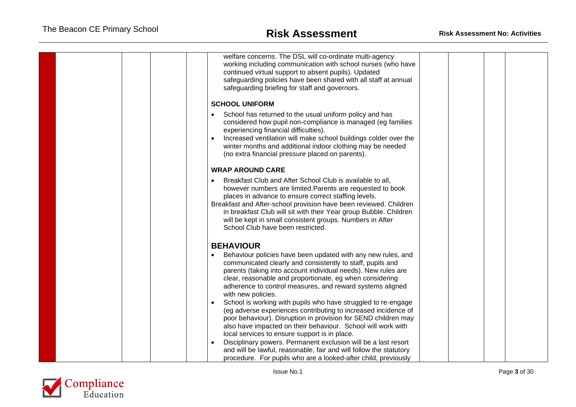<span id="page-2-1"></span>

| welfare concerns. The DSL will co-ordinate multi-agency<br>working including communication with school nurses (who have<br>continued virtual support to absent pupils). Updated<br>safeguarding policies have been shared with all staff at annual<br>safeguarding briefing for staff and governors.                                                                                                                        |  |
|-----------------------------------------------------------------------------------------------------------------------------------------------------------------------------------------------------------------------------------------------------------------------------------------------------------------------------------------------------------------------------------------------------------------------------|--|
| <b>SCHOOL UNIFORM</b>                                                                                                                                                                                                                                                                                                                                                                                                       |  |
| School has returned to the usual uniform policy and has<br>considered how pupil non-compliance is managed (eg families<br>experiencing financial difficulties).<br>Increased ventilation will make school buildings colder over the<br>winter months and additional indoor clothing may be needed<br>(no extra financial pressure placed on parents).                                                                       |  |
| <b>WRAP AROUND CARE</b>                                                                                                                                                                                                                                                                                                                                                                                                     |  |
| Breakfast Club and After School Club is available to all,<br>however numbers are limited. Parents are requested to book<br>places in advance to ensure correct staffing levels.<br>Breakfast and After-school provision have been reviewed. Children<br>in breakfast Club will sit with their Year group Bubble. Children<br>will be kept in small consistent groups. Numbers in After<br>School Club have been restricted. |  |
| <b>BEHAVIOUR</b>                                                                                                                                                                                                                                                                                                                                                                                                            |  |
| Behaviour policies have been updated with any new rules, and<br>communicated clearly and consistently to staff, pupils and<br>parents (taking into account individual needs). New rules are<br>clear, reasonable and proportionate, eg when considering<br>adherence to control measures, and reward systems aligned<br>with new policies.                                                                                  |  |
| School is working with pupils who have struggled to re-engage<br>$\bullet$<br>(eg adverse experiences contributing to increased incidence of<br>poor behaviour). Disruption in provision for SEND children may<br>also have impacted on their behaviour. School will work with<br>local services to ensure support is in place.                                                                                             |  |
| Disciplinary powers. Permanent exclusion will be a last resort<br>and will be lawful, reasonable, fair and will follow the statutory<br>procedure. For pupils who are a looked-after child, previously                                                                                                                                                                                                                      |  |

<span id="page-2-0"></span>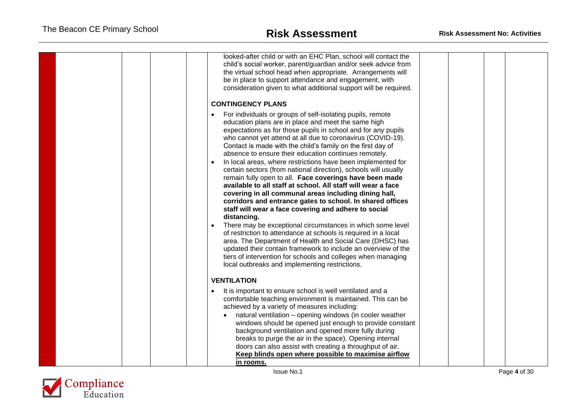<span id="page-3-0"></span>

| looked-after child or with an EHC Plan, school will contact the<br>child's social worker, parent/guardian and/or seek advice from<br>the virtual school head when appropriate. Arrangements will<br>be in place to support attendance and engagement, with<br>consideration given to what additional support will be required.<br><b>CONTINGENCY PLANS</b>                                                                                                                                                                                                                                                                                                                                                                                                                                                                                                                                                                                                                                                                           |  |  |
|--------------------------------------------------------------------------------------------------------------------------------------------------------------------------------------------------------------------------------------------------------------------------------------------------------------------------------------------------------------------------------------------------------------------------------------------------------------------------------------------------------------------------------------------------------------------------------------------------------------------------------------------------------------------------------------------------------------------------------------------------------------------------------------------------------------------------------------------------------------------------------------------------------------------------------------------------------------------------------------------------------------------------------------|--|--|
| For individuals or groups of self-isolating pupils, remote                                                                                                                                                                                                                                                                                                                                                                                                                                                                                                                                                                                                                                                                                                                                                                                                                                                                                                                                                                           |  |  |
| education plans are in place and meet the same high<br>expectations as for those pupils in school and for any pupils<br>who cannot yet attend at all due to coronavirus (COVID-19).<br>Contact is made with the child's family on the first day of<br>absence to ensure their education continues remotely.<br>In local areas, where restrictions have been implemented for<br>certain sectors (from national direction), schools will usually<br>remain fully open to all. Face coverings have been made<br>available to all staff at school. All staff will wear a face<br>covering in all communal areas including dining hall,<br>corridors and entrance gates to school. In shared offices<br>staff will wear a face covering and adhere to social<br>distancing.<br>There may be exceptional circumstances in which some level<br>of restriction to attendance at schools is required in a local<br>area. The Department of Health and Social Care (DHSC) has<br>updated their contain framework to include an overview of the |  |  |
| tiers of intervention for schools and colleges when managing<br>local outbreaks and implementing restrictions.                                                                                                                                                                                                                                                                                                                                                                                                                                                                                                                                                                                                                                                                                                                                                                                                                                                                                                                       |  |  |
|                                                                                                                                                                                                                                                                                                                                                                                                                                                                                                                                                                                                                                                                                                                                                                                                                                                                                                                                                                                                                                      |  |  |
| <b>VENTILATION</b>                                                                                                                                                                                                                                                                                                                                                                                                                                                                                                                                                                                                                                                                                                                                                                                                                                                                                                                                                                                                                   |  |  |
| It is important to ensure school is well ventilated and a<br>comfortable teaching environment is maintained. This can be<br>achieved by a variety of measures including:<br>natural ventilation - opening windows (in cooler weather<br>windows should be opened just enough to provide constant<br>background ventilation and opened more fully during                                                                                                                                                                                                                                                                                                                                                                                                                                                                                                                                                                                                                                                                              |  |  |
| breaks to purge the air in the space). Opening internal<br>doors can also assist with creating a throughput of air.<br>Keep blinds open where possible to maximise airflow<br>in rooms.                                                                                                                                                                                                                                                                                                                                                                                                                                                                                                                                                                                                                                                                                                                                                                                                                                              |  |  |

<span id="page-3-1"></span>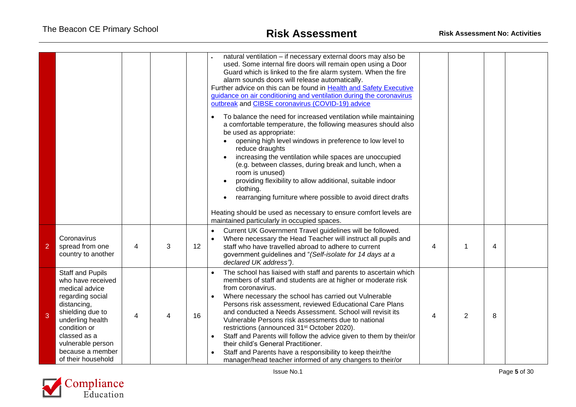|                |                                                                                                                                                                                                                                          |   |   |    | natural ventilation - if necessary external doors may also be<br>used. Some internal fire doors will remain open using a Door<br>Guard which is linked to the fire alarm system. When the fire<br>alarm sounds doors will release automatically.<br>Further advice on this can be found in Health and Safety Executive<br>guidance on air conditioning and ventilation during the coronavirus<br>outbreak and CIBSE coronavirus (COVID-19) advice<br>To balance the need for increased ventilation while maintaining<br>$\bullet$<br>a comfortable temperature, the following measures should also<br>be used as appropriate:<br>opening high level windows in preference to low level to<br>reduce draughts<br>increasing the ventilation while spaces are unoccupied<br>(e.g. between classes, during break and lunch, when a<br>room is unused)<br>providing flexibility to allow additional, suitable indoor<br>clothing.<br>rearranging furniture where possible to avoid direct drafts<br>Heating should be used as necessary to ensure comfort levels are<br>maintained particularly in occupied spaces. |   |                |                |  |
|----------------|------------------------------------------------------------------------------------------------------------------------------------------------------------------------------------------------------------------------------------------|---|---|----|-----------------------------------------------------------------------------------------------------------------------------------------------------------------------------------------------------------------------------------------------------------------------------------------------------------------------------------------------------------------------------------------------------------------------------------------------------------------------------------------------------------------------------------------------------------------------------------------------------------------------------------------------------------------------------------------------------------------------------------------------------------------------------------------------------------------------------------------------------------------------------------------------------------------------------------------------------------------------------------------------------------------------------------------------------------------------------------------------------------------|---|----------------|----------------|--|
| $\overline{2}$ | Coronavirus<br>spread from one<br>country to another                                                                                                                                                                                     | 4 | 3 | 12 | Current UK Government Travel guidelines will be followed.<br>$\bullet$<br>Where necessary the Head Teacher will instruct all pupils and<br>$\bullet$<br>staff who have travelled abroad to adhere to current<br>government guidelines and "(Self-isolate for 14 days at a<br>declared UK address").                                                                                                                                                                                                                                                                                                                                                                                                                                                                                                                                                                                                                                                                                                                                                                                                             | 4 |                | $\overline{4}$ |  |
| 3              | <b>Staff and Pupils</b><br>who have received<br>medical advice<br>regarding social<br>distancing,<br>shielding due to<br>underling health<br>condition or<br>classed as a<br>vulnerable person<br>because a member<br>of their household | 4 | 4 | 16 | The school has liaised with staff and parents to ascertain which<br>members of staff and students are at higher or moderate risk<br>from coronavirus.<br>Where necessary the school has carried out Vulnerable<br>Persons risk assessment, reviewed Educational Care Plans<br>and conducted a Needs Assessment. School will revisit its<br>Vulnerable Persons risk assessments due to national<br>restrictions (announced 31 <sup>st</sup> October 2020).<br>Staff and Parents will follow the advice given to them by their/or<br>$\bullet$<br>their child's General Practitioner.<br>Staff and Parents have a responsibility to keep their/the<br>$\bullet$<br>manager/head teacher informed of any changers to their/or                                                                                                                                                                                                                                                                                                                                                                                      | 4 | $\overline{2}$ | 8              |  |

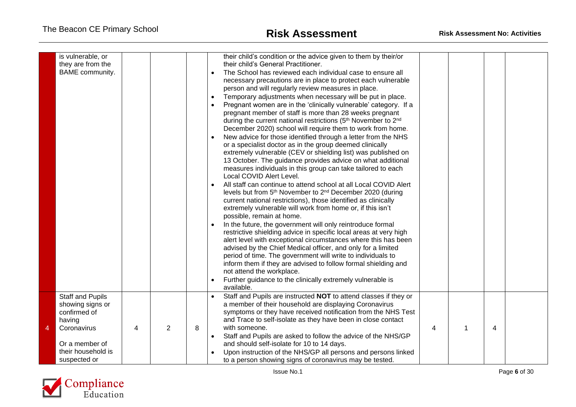|   | is vulnerable, or<br>they are from the<br>BAME community.                                                                                    |   |   |   | their child's condition or the advice given to them by their/or<br>their child's General Practitioner.<br>The School has reviewed each individual case to ensure all<br>$\bullet$<br>necessary precautions are in place to protect each vulnerable<br>person and will regularly review measures in place.<br>Temporary adjustments when necessary will be put in place.<br>$\bullet$<br>Pregnant women are in the 'clinically vulnerable' category. If a<br>pregnant member of staff is more than 28 weeks pregnant<br>during the current national restrictions (5 <sup>th</sup> November to 2 <sup>nd</sup><br>December 2020) school will require them to work from home.<br>New advice for those identified through a letter from the NHS<br>or a specialist doctor as in the group deemed clinically<br>extremely vulnerable (CEV or shielding list) was published on<br>13 October. The guidance provides advice on what additional<br>measures individuals in this group can take tailored to each<br>Local COVID Alert Level.<br>All staff can continue to attend school at all Local COVID Alert<br>levels but from 5th November to 2nd December 2020 (during<br>current national restrictions), those identified as clinically<br>extremely vulnerable will work from home or, if this isn't<br>possible, remain at home.<br>In the future, the government will only reintroduce formal<br>restrictive shielding advice in specific local areas at very high<br>alert level with exceptional circumstances where this has been<br>advised by the Chief Medical officer, and only for a limited<br>period of time. The government will write to individuals to<br>inform them if they are advised to follow formal shielding and<br>not attend the workplace.<br>Further guidance to the clinically extremely vulnerable is<br>available. |   |   |  |
|---|----------------------------------------------------------------------------------------------------------------------------------------------|---|---|---|--------------------------------------------------------------------------------------------------------------------------------------------------------------------------------------------------------------------------------------------------------------------------------------------------------------------------------------------------------------------------------------------------------------------------------------------------------------------------------------------------------------------------------------------------------------------------------------------------------------------------------------------------------------------------------------------------------------------------------------------------------------------------------------------------------------------------------------------------------------------------------------------------------------------------------------------------------------------------------------------------------------------------------------------------------------------------------------------------------------------------------------------------------------------------------------------------------------------------------------------------------------------------------------------------------------------------------------------------------------------------------------------------------------------------------------------------------------------------------------------------------------------------------------------------------------------------------------------------------------------------------------------------------------------------------------------------------------------------------------------------------------------------------------------------------------------------------------------------|---|---|--|
| 4 | <b>Staff and Pupils</b><br>showing signs or<br>confirmed of<br>having<br>Coronavirus<br>Or a member of<br>their household is<br>suspected or | 4 | 2 | 8 | Staff and Pupils are instructed NOT to attend classes if they or<br>a member of their household are displaying Coronavirus<br>symptoms or they have received notification from the NHS Test<br>and Trace to self-isolate as they have been in close contact<br>with someone.<br>Staff and Pupils are asked to follow the advice of the NHS/GP<br>$\bullet$<br>and should self-isolate for 10 to 14 days.<br>Upon instruction of the NHS/GP all persons and persons linked<br>to a person showing signs of coronavirus may be tested.                                                                                                                                                                                                                                                                                                                                                                                                                                                                                                                                                                                                                                                                                                                                                                                                                                                                                                                                                                                                                                                                                                                                                                                                                                                                                                             | 4 | 4 |  |

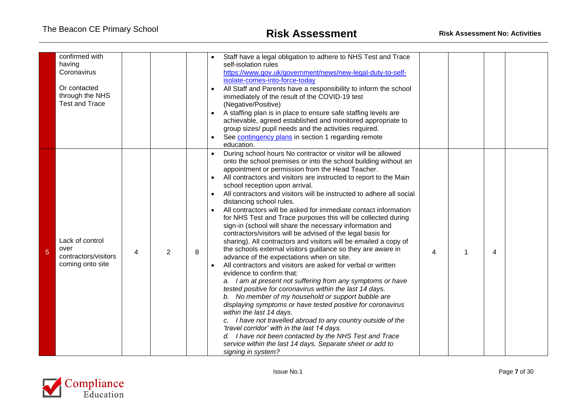|   | confirmed with<br>having<br>Coronavirus<br>Or contacted<br>through the NHS<br><b>Test and Trace</b> |   |   |   | Staff have a legal obligation to adhere to NHS Test and Trace<br>self-isolation rules<br>https://www.gov.uk/government/news/new-legal-duty-to-self-<br>isolate-comes-into-force-today<br>All Staff and Parents have a responsibility to inform the school<br>$\bullet$<br>immediately of the result of the COVID-19 test<br>(Negative/Positive)<br>A staffing plan is in place to ensure safe staffing levels are<br>$\bullet$<br>achievable, agreed established and monitored appropriate to<br>group sizes/ pupil needs and the activities required.<br>See contingency plans in section 1 regarding remote<br>education.                                                                                                                                                                                                                                                                                                                                                                                                                                                                                                                                                                                                                                                                                                                                                                                                                                                       |   |   |   |  |
|---|-----------------------------------------------------------------------------------------------------|---|---|---|-----------------------------------------------------------------------------------------------------------------------------------------------------------------------------------------------------------------------------------------------------------------------------------------------------------------------------------------------------------------------------------------------------------------------------------------------------------------------------------------------------------------------------------------------------------------------------------------------------------------------------------------------------------------------------------------------------------------------------------------------------------------------------------------------------------------------------------------------------------------------------------------------------------------------------------------------------------------------------------------------------------------------------------------------------------------------------------------------------------------------------------------------------------------------------------------------------------------------------------------------------------------------------------------------------------------------------------------------------------------------------------------------------------------------------------------------------------------------------------|---|---|---|--|
| 5 | Lack of control<br>over<br>contractors/visitors<br>coming onto site                                 | 4 | 2 | 8 | During school hours No contractor or visitor will be allowed<br>onto the school premises or into the school building without an<br>appointment or permission from the Head Teacher.<br>All contractors and visitors are instructed to report to the Main<br>school reception upon arrival.<br>All contractors and visitors will be instructed to adhere all social<br>distancing school rules.<br>All contractors will be asked for immediate contact information<br>for NHS Test and Trace purposes this will be collected during<br>sign-in (school will share the necessary information and<br>contractors/visitors will be advised of the legal basis for<br>sharing). All contractors and visitors will be emailed a copy of<br>the schools external visitors guidance so they are aware in<br>advance of the expectations when on site.<br>All contractors and visitors are asked for verbal or written<br>evidence to confirm that:<br>a. I am at present not suffering from any symptoms or have<br>tested positive for coronavirus within the last 14 days.<br>b. No member of my household or support bubble are<br>displaying symptoms or have tested positive for coronavirus<br>within the last 14 days.<br>c. I have not travelled abroad to any country outside of the<br>'travel corridor' with in the last 14 days.<br>d. I have not been contacted by the NHS Test and Trace<br>service within the last 14 days. Separate sheet or add to<br>signing in system? | 4 | 1 | 4 |  |

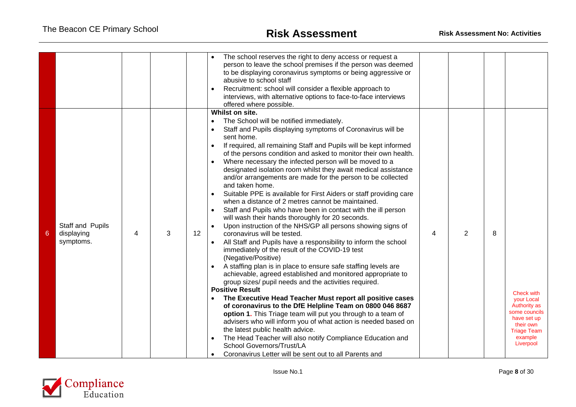|   |                                             |   |   |    | The school reserves the right to deny access or request a<br>person to leave the school premises if the person was deemed<br>to be displaying coronavirus symptoms or being aggressive or<br>abusive to school staff<br>Recruitment: school will consider a flexible approach to<br>interviews, with alternative options to face-to-face interviews<br>offered where possible.<br>Whilst on site.                                                                                                                                                                                                                                                                                                                                                                                                                                                                                                                                                                                                                                                                                                                                                                                                                                                                                                                                                                                                                                                                                                                                                                                                                                                                                    |   |   |   |                                                                                                                                                   |
|---|---------------------------------------------|---|---|----|--------------------------------------------------------------------------------------------------------------------------------------------------------------------------------------------------------------------------------------------------------------------------------------------------------------------------------------------------------------------------------------------------------------------------------------------------------------------------------------------------------------------------------------------------------------------------------------------------------------------------------------------------------------------------------------------------------------------------------------------------------------------------------------------------------------------------------------------------------------------------------------------------------------------------------------------------------------------------------------------------------------------------------------------------------------------------------------------------------------------------------------------------------------------------------------------------------------------------------------------------------------------------------------------------------------------------------------------------------------------------------------------------------------------------------------------------------------------------------------------------------------------------------------------------------------------------------------------------------------------------------------------------------------------------------------|---|---|---|---------------------------------------------------------------------------------------------------------------------------------------------------|
| 6 | Staff and Pupils<br>displaying<br>symptoms. | 4 | 3 | 12 | The School will be notified immediately.<br>$\bullet$<br>Staff and Pupils displaying symptoms of Coronavirus will be<br>sent home.<br>If required, all remaining Staff and Pupils will be kept informed<br>$\bullet$<br>of the persons condition and asked to monitor their own health.<br>Where necessary the infected person will be moved to a<br>$\bullet$<br>designated isolation room whilst they await medical assistance<br>and/or arrangements are made for the person to be collected<br>and taken home.<br>Suitable PPE is available for First Aiders or staff providing care<br>when a distance of 2 metres cannot be maintained.<br>Staff and Pupils who have been in contact with the ill person<br>will wash their hands thoroughly for 20 seconds.<br>Upon instruction of the NHS/GP all persons showing signs of<br>coronavirus will be tested.<br>All Staff and Pupils have a responsibility to inform the school<br>immediately of the result of the COVID-19 test<br>(Negative/Positive)<br>A staffing plan is in place to ensure safe staffing levels are<br>achievable, agreed established and monitored appropriate to<br>group sizes/ pupil needs and the activities required.<br><b>Positive Result</b><br>The Executive Head Teacher Must report all positive cases<br>of coronavirus to the DfE Helpline Team on 0800 046 8687<br>option 1. This Triage team will put you through to a team of<br>advisers who will inform you of what action is needed based on<br>the latest public health advice.<br>The Head Teacher will also notify Compliance Education and<br>School Governors/Trust/LA<br>Coronavirus Letter will be sent out to all Parents and | 4 | 2 | 8 | <b>Check with</b><br><b>your Local</b><br><b>Authority as</b><br>some councils<br>have set up<br>their own<br>Triage Team<br>example<br>Liverpool |

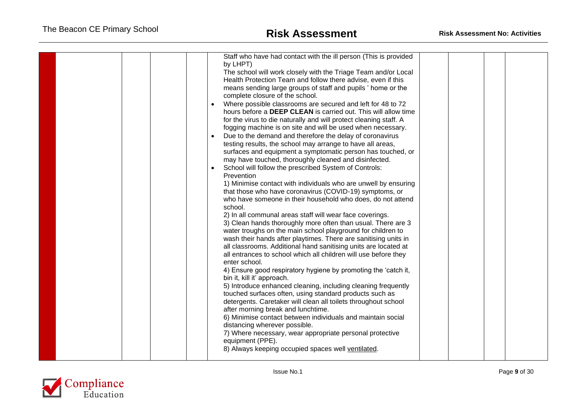|  | Staff who have had contact with the ill person (This is provided<br>by LHPT)<br>The school will work closely with the Triage Team and/or Local<br>Health Protection Team and follow there advise, even if this<br>means sending large groups of staff and pupils ' home or the<br>complete closure of the school.<br>Where possible classrooms are secured and left for 48 to 72<br>$\bullet$<br>hours before a DEEP CLEAN is carried out. This will allow time<br>for the virus to die naturally and will protect cleaning staff. A<br>fogging machine is on site and will be used when necessary.<br>Due to the demand and therefore the delay of coronavirus<br>testing results, the school may arrange to have all areas,<br>surfaces and equipment a symptomatic person has touched, or<br>may have touched, thoroughly cleaned and disinfected.<br>School will follow the prescribed System of Controls:<br>Prevention<br>1) Minimise contact with individuals who are unwell by ensuring<br>that those who have coronavirus (COVID-19) symptoms, or<br>who have someone in their household who does, do not attend<br>school.<br>2) In all communal areas staff will wear face coverings.<br>3) Clean hands thoroughly more often than usual. There are 3<br>water troughs on the main school playground for children to<br>wash their hands after playtimes. There are sanitising units in<br>all classrooms. Additional hand sanitising units are located at<br>all entrances to school which all children will use before they<br>enter school.<br>4) Ensure good respiratory hygiene by promoting the 'catch it,<br>bin it, kill it' approach.<br>5) Introduce enhanced cleaning, including cleaning frequently<br>touched surfaces often, using standard products such as<br>detergents. Caretaker will clean all toilets throughout school<br>after morning break and lunchtime.<br>6) Minimise contact between individuals and maintain social<br>distancing wherever possible.<br>7) Where necessary, wear appropriate personal protective<br>equipment (PPE).<br>8) Always keeping occupied spaces well ventilated. |  |  |
|--|-------------------------------------------------------------------------------------------------------------------------------------------------------------------------------------------------------------------------------------------------------------------------------------------------------------------------------------------------------------------------------------------------------------------------------------------------------------------------------------------------------------------------------------------------------------------------------------------------------------------------------------------------------------------------------------------------------------------------------------------------------------------------------------------------------------------------------------------------------------------------------------------------------------------------------------------------------------------------------------------------------------------------------------------------------------------------------------------------------------------------------------------------------------------------------------------------------------------------------------------------------------------------------------------------------------------------------------------------------------------------------------------------------------------------------------------------------------------------------------------------------------------------------------------------------------------------------------------------------------------------------------------------------------------------------------------------------------------------------------------------------------------------------------------------------------------------------------------------------------------------------------------------------------------------------------------------------------------------------------------------------------------------------------------------------------------------------------------------------------------------------------|--|--|
|--|-------------------------------------------------------------------------------------------------------------------------------------------------------------------------------------------------------------------------------------------------------------------------------------------------------------------------------------------------------------------------------------------------------------------------------------------------------------------------------------------------------------------------------------------------------------------------------------------------------------------------------------------------------------------------------------------------------------------------------------------------------------------------------------------------------------------------------------------------------------------------------------------------------------------------------------------------------------------------------------------------------------------------------------------------------------------------------------------------------------------------------------------------------------------------------------------------------------------------------------------------------------------------------------------------------------------------------------------------------------------------------------------------------------------------------------------------------------------------------------------------------------------------------------------------------------------------------------------------------------------------------------------------------------------------------------------------------------------------------------------------------------------------------------------------------------------------------------------------------------------------------------------------------------------------------------------------------------------------------------------------------------------------------------------------------------------------------------------------------------------------------------|--|--|

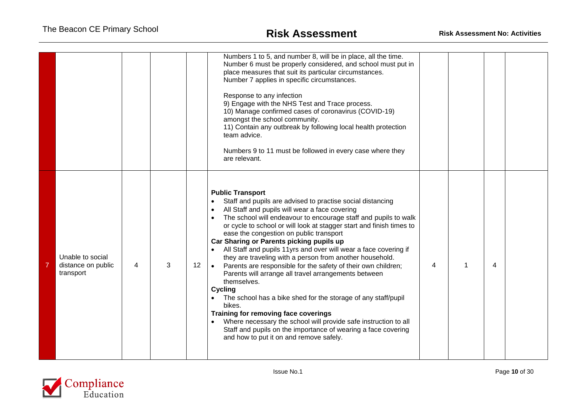|                                                     |   |   |    | Numbers 1 to 5, and number 8, will be in place, all the time.<br>Number 6 must be properly considered, and school must put in<br>place measures that suit its particular circumstances.<br>Number 7 applies in specific circumstances.<br>Response to any infection<br>9) Engage with the NHS Test and Trace process.<br>10) Manage confirmed cases of coronavirus (COVID-19)<br>amongst the school community.<br>11) Contain any outbreak by following local health protection<br>team advice.<br>Numbers 9 to 11 must be followed in every case where they<br>are relevant.                                                                                                                                                                                                                                                                                                                                                                                                      |   |   |  |
|-----------------------------------------------------|---|---|----|------------------------------------------------------------------------------------------------------------------------------------------------------------------------------------------------------------------------------------------------------------------------------------------------------------------------------------------------------------------------------------------------------------------------------------------------------------------------------------------------------------------------------------------------------------------------------------------------------------------------------------------------------------------------------------------------------------------------------------------------------------------------------------------------------------------------------------------------------------------------------------------------------------------------------------------------------------------------------------|---|---|--|
| Unable to social<br>distance on public<br>transport | 4 | 3 | 12 | <b>Public Transport</b><br>Staff and pupils are advised to practise social distancing<br>All Staff and pupils will wear a face covering<br>The school will endeavour to encourage staff and pupils to walk<br>or cycle to school or will look at stagger start and finish times to<br>ease the congestion on public transport<br>Car Sharing or Parents picking pupils up<br>All Staff and pupils 11yrs and over will wear a face covering if<br>they are traveling with a person from another household.<br>Parents are responsible for the safety of their own children;<br>$\bullet$<br>Parents will arrange all travel arrangements between<br>themselves.<br><b>Cycling</b><br>The school has a bike shed for the storage of any staff/pupil<br>bikes.<br>Training for removing face coverings<br>Where necessary the school will provide safe instruction to all<br>Staff and pupils on the importance of wearing a face covering<br>and how to put it on and remove safely. | 4 | 4 |  |

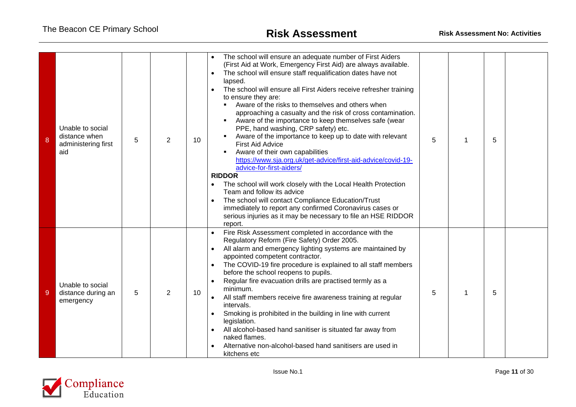| 8 | Unable to social<br>distance when<br>administering first<br>aid | 5 | 2 | 10 | The school will ensure an adequate number of First Aiders<br>(First Aid at Work, Emergency First Aid) are always available.<br>The school will ensure staff requalification dates have not<br>$\bullet$<br>lapsed.<br>The school will ensure all First Aiders receive refresher training<br>$\bullet$<br>to ensure they are:<br>Aware of the risks to themselves and others when<br>approaching a casualty and the risk of cross contamination.<br>Aware of the importance to keep themselves safe (wear<br>PPE, hand washing, CRP safety) etc.<br>Aware of the importance to keep up to date with relevant<br><b>First Aid Advice</b><br>Aware of their own capabilities<br>https://www.sja.org.uk/get-advice/first-aid-advice/covid-19-<br>advice-for-first-aiders/<br><b>RIDDOR</b><br>The school will work closely with the Local Health Protection<br>Team and follow its advice<br>The school will contact Compliance Education/Trust<br>$\bullet$<br>immediately to report any confirmed Coronavirus cases or<br>serious injuries as it may be necessary to file an HSE RIDDOR<br>report. | 5 | 1 | 5 |  |
|---|-----------------------------------------------------------------|---|---|----|--------------------------------------------------------------------------------------------------------------------------------------------------------------------------------------------------------------------------------------------------------------------------------------------------------------------------------------------------------------------------------------------------------------------------------------------------------------------------------------------------------------------------------------------------------------------------------------------------------------------------------------------------------------------------------------------------------------------------------------------------------------------------------------------------------------------------------------------------------------------------------------------------------------------------------------------------------------------------------------------------------------------------------------------------------------------------------------------------|---|---|---|--|
| 9 | Unable to social<br>distance during an<br>emergency             | 5 | 2 | 10 | Fire Risk Assessment completed in accordance with the<br>Regulatory Reform (Fire Safety) Order 2005.<br>All alarm and emergency lighting systems are maintained by<br>$\bullet$<br>appointed competent contractor.<br>The COVID-19 fire procedure is explained to all staff members<br>$\bullet$<br>before the school reopens to pupils.<br>Regular fire evacuation drills are practised termly as a<br>$\bullet$<br>minimum.<br>All staff members receive fire awareness training at regular<br>$\bullet$<br>intervals.<br>Smoking is prohibited in the building in line with current<br>$\bullet$<br>legislation.<br>All alcohol-based hand sanitiser is situated far away from<br>$\bullet$<br>naked flames.<br>Alternative non-alcohol-based hand sanitisers are used in<br>kitchens etc                                                                                                                                                                                                                                                                                                     | 5 | 1 | 5 |  |

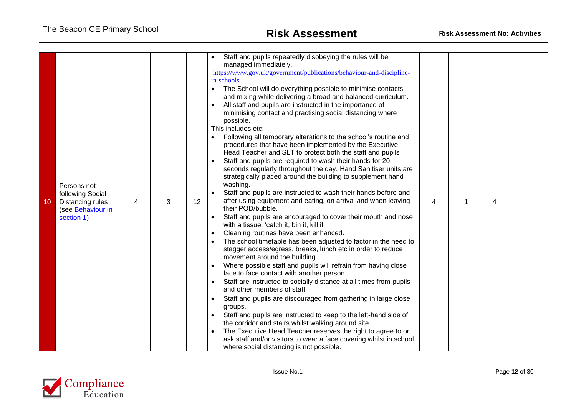| Staff and pupils repeatedly disobeying the rules will be<br>managed immediately.<br>https://www.gov.uk/government/publications/behaviour-and-discipline-<br>in-schools<br>The School will do everything possible to minimise contacts<br>$\bullet$<br>and mixing while delivering a broad and balanced curriculum.<br>All staff and pupils are instructed in the importance of<br>minimising contact and practising social distancing where<br>possible.<br>This includes etc:<br>Following all temporary alterations to the school's routine and<br>procedures that have been implemented by the Executive<br>Head Teacher and SLT to protect both the staff and pupils<br>Staff and pupils are required to wash their hands for 20<br>seconds regularly throughout the day. Hand Sanitiser units are<br>strategically placed around the building to supplement hand<br>washing.<br>Persons not<br>Staff and pupils are instructed to wash their hands before and<br>following Social<br>after using equipment and eating, on arrival and when leaving<br>12<br>10<br>Distancing rules<br>3<br>4<br>their POD/bubble.<br>(see Behaviour in<br>Staff and pupils are encouraged to cover their mouth and nose<br>section 1)<br>with a tissue. 'catch it, bin it, kill it'<br>Cleaning routines have been enhanced.<br>$\bullet$<br>The school timetable has been adjusted to factor in the need to<br>stagger access/egress, breaks, lunch etc in order to reduce<br>movement around the building.<br>Where possible staff and pupils will refrain from having close<br>face to face contact with another person.<br>Staff are instructed to socially distance at all times from pupils<br>and other members of staff.<br>Staff and pupils are discouraged from gathering in large close<br>groups.<br>Staff and pupils are instructed to keep to the left-hand side of<br>the corridor and stairs whilst walking around site.<br>The Executive Head Teacher reserves the right to agree to or<br>ask staff and/or visitors to wear a face covering whilst in school<br>where social distancing is not possible. | 4 | 4 |  |
|-----------------------------------------------------------------------------------------------------------------------------------------------------------------------------------------------------------------------------------------------------------------------------------------------------------------------------------------------------------------------------------------------------------------------------------------------------------------------------------------------------------------------------------------------------------------------------------------------------------------------------------------------------------------------------------------------------------------------------------------------------------------------------------------------------------------------------------------------------------------------------------------------------------------------------------------------------------------------------------------------------------------------------------------------------------------------------------------------------------------------------------------------------------------------------------------------------------------------------------------------------------------------------------------------------------------------------------------------------------------------------------------------------------------------------------------------------------------------------------------------------------------------------------------------------------------------------------------------------------------------------------------------------------------------------------------------------------------------------------------------------------------------------------------------------------------------------------------------------------------------------------------------------------------------------------------------------------------------------------------------------------------------------------------------------------------------------------------------------------------|---|---|--|

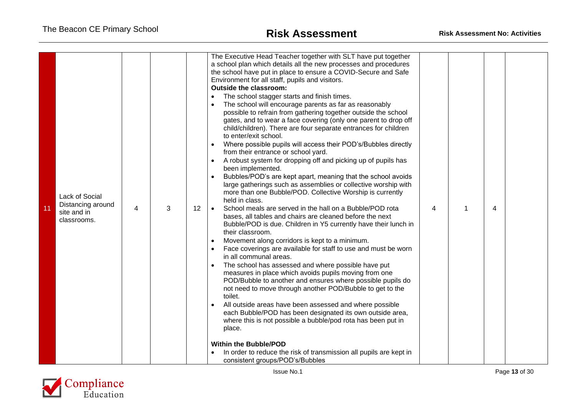| 11 | Lack of Social<br>Distancing around<br>site and in<br>classrooms. | 4 | 3 | 12 | The Executive Head Teacher together with SLT have put together<br>a school plan which details all the new processes and procedures<br>the school have put in place to ensure a COVID-Secure and Safe<br>Environment for all staff, pupils and visitors.<br><b>Outside the classroom:</b><br>The school stagger starts and finish times.<br>The school will encourage parents as far as reasonably<br>possible to refrain from gathering together outside the school<br>gates, and to wear a face covering (only one parent to drop off<br>child/children). There are four separate entrances for children<br>to enter/exit school.<br>Where possible pupils will access their POD's/Bubbles directly<br>from their entrance or school yard.<br>A robust system for dropping off and picking up of pupils has<br>been implemented.<br>Bubbles/POD's are kept apart, meaning that the school avoids<br>large gatherings such as assemblies or collective worship with<br>more than one Bubble/POD. Collective Worship is currently<br>held in class.<br>School meals are served in the hall on a Bubble/POD rota<br>$\bullet$<br>bases, all tables and chairs are cleaned before the next<br>Bubble/POD is due. Children in Y5 currently have their lunch in<br>their classroom.<br>Movement along corridors is kept to a minimum.<br>Face coverings are available for staff to use and must be worn<br>in all communal areas.<br>The school has assessed and where possible have put<br>measures in place which avoids pupils moving from one<br>POD/Bubble to another and ensures where possible pupils do<br>not need to move through another POD/Bubble to get to the<br>toilet.<br>All outside areas have been assessed and where possible<br>each Bubble/POD has been designated its own outside area,<br>where this is not possible a bubble/pod rota has been put in<br>place.<br><b>Within the Bubble/POD</b><br>In order to reduce the risk of transmission all pupils are kept in<br>consistent groups/POD's/Bubbles | 4 | $\overline{4}$ |  |
|----|-------------------------------------------------------------------|---|---|----|-------------------------------------------------------------------------------------------------------------------------------------------------------------------------------------------------------------------------------------------------------------------------------------------------------------------------------------------------------------------------------------------------------------------------------------------------------------------------------------------------------------------------------------------------------------------------------------------------------------------------------------------------------------------------------------------------------------------------------------------------------------------------------------------------------------------------------------------------------------------------------------------------------------------------------------------------------------------------------------------------------------------------------------------------------------------------------------------------------------------------------------------------------------------------------------------------------------------------------------------------------------------------------------------------------------------------------------------------------------------------------------------------------------------------------------------------------------------------------------------------------------------------------------------------------------------------------------------------------------------------------------------------------------------------------------------------------------------------------------------------------------------------------------------------------------------------------------------------------------------------------------------------------------------------------------------------------------------------------------------------------------------------------|---|----------------|--|

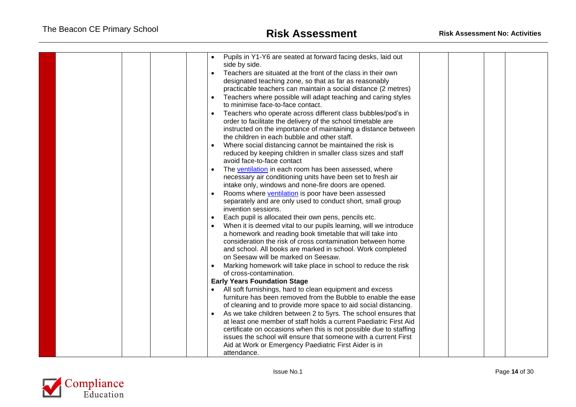| Pupils in Y1-Y6 are seated at forward facing desks, laid out<br>side by side.<br>Teachers are situated at the front of the class in their own<br>$\bullet$<br>designated teaching zone, so that as far as reasonably<br>practicable teachers can maintain a social distance (2 metres)<br>Teachers where possible will adapt teaching and caring styles<br>$\bullet$<br>to minimise face-to-face contact.<br>Teachers who operate across different class bubbles/pod's in<br>$\bullet$<br>order to facilitate the delivery of the school timetable are<br>instructed on the importance of maintaining a distance between<br>the children in each bubble and other staff.<br>Where social distancing cannot be maintained the risk is<br>reduced by keeping children in smaller class sizes and staff<br>avoid face-to-face contact<br>The ventilation in each room has been assessed, where<br>necessary air conditioning units have been set to fresh air<br>intake only, windows and none-fire doors are opened.<br>Rooms where ventilation is poor have been assessed<br>separately and are only used to conduct short, small group<br>invention sessions.<br>Each pupil is allocated their own pens, pencils etc.<br>When it is deemed vital to our pupils learning, will we introduce<br>a homework and reading book timetable that will take into<br>consideration the risk of cross contamination between home<br>and school. All books are marked in school. Work completed<br>on Seesaw will be marked on Seesaw.<br>Marking homework will take place in school to reduce the risk<br>$\bullet$<br>of cross-contamination. |  |
|-------------------------------------------------------------------------------------------------------------------------------------------------------------------------------------------------------------------------------------------------------------------------------------------------------------------------------------------------------------------------------------------------------------------------------------------------------------------------------------------------------------------------------------------------------------------------------------------------------------------------------------------------------------------------------------------------------------------------------------------------------------------------------------------------------------------------------------------------------------------------------------------------------------------------------------------------------------------------------------------------------------------------------------------------------------------------------------------------------------------------------------------------------------------------------------------------------------------------------------------------------------------------------------------------------------------------------------------------------------------------------------------------------------------------------------------------------------------------------------------------------------------------------------------------------------------------------------------------------------------------------------|--|
|                                                                                                                                                                                                                                                                                                                                                                                                                                                                                                                                                                                                                                                                                                                                                                                                                                                                                                                                                                                                                                                                                                                                                                                                                                                                                                                                                                                                                                                                                                                                                                                                                                     |  |
| <b>Early Years Foundation Stage</b>                                                                                                                                                                                                                                                                                                                                                                                                                                                                                                                                                                                                                                                                                                                                                                                                                                                                                                                                                                                                                                                                                                                                                                                                                                                                                                                                                                                                                                                                                                                                                                                                 |  |
| All soft furnishings, hard to clean equipment and excess<br>furniture has been removed from the Bubble to enable the ease<br>of cleaning and to provide more space to aid social distancing.<br>As we take children between 2 to 5yrs. The school ensures that<br>$\bullet$<br>at least one member of staff holds a current Paediatric First Aid<br>certificate on occasions when this is not possible due to staffing<br>issues the school will ensure that someone with a current First<br>Aid at Work or Emergency Paediatric First Aider is in<br>attendance.                                                                                                                                                                                                                                                                                                                                                                                                                                                                                                                                                                                                                                                                                                                                                                                                                                                                                                                                                                                                                                                                   |  |

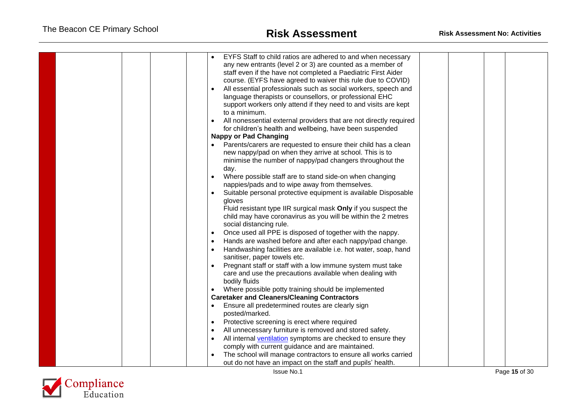| EYFS Staff to child ratios are adhered to and when necessary<br>any new entrants (level 2 or 3) are counted as a member of<br>staff even if the have not completed a Paediatric First Aider<br>course. (EYFS have agreed to waiver this rule due to COVID)<br>All essential professionals such as social workers, speech and<br>language therapists or counsellors, or professional EHC<br>support workers only attend if they need to and visits are kept<br>to a minimum.<br>All nonessential external providers that are not directly required<br>for children's health and wellbeing, have been suspended<br><b>Nappy or Pad Changing</b><br>Parents/carers are requested to ensure their child has a clean<br>new nappy/pad on when they arrive at school. This is to<br>minimise the number of nappy/pad changers throughout the<br>day.<br>Where possible staff are to stand side-on when changing<br>nappies/pads and to wipe away from themselves.<br>Suitable personal protective equipment is available Disposable<br>gloves<br>Fluid resistant type IIR surgical mask Only if you suspect the<br>child may have coronavirus as you will be within the 2 metres<br>social distancing rule.<br>Once used all PPE is disposed of together with the nappy.<br>$\bullet$<br>Hands are washed before and after each nappy/pad change.<br>Handwashing facilities are available i.e. hot water, soap, hand<br>sanitiser, paper towels etc.<br>Pregnant staff or staff with a low immune system must take<br>care and use the precautions available when dealing with<br>bodily fluids<br>Where possible potty training should be implemented<br><b>Caretaker and Cleaners/Cleaning Contractors</b><br>Ensure all predetermined routes are clearly sign<br>posted/marked.<br>Protective screening is erect where required<br>$\bullet$<br>All unnecessary furniture is removed and stored safety. |  |
|------------------------------------------------------------------------------------------------------------------------------------------------------------------------------------------------------------------------------------------------------------------------------------------------------------------------------------------------------------------------------------------------------------------------------------------------------------------------------------------------------------------------------------------------------------------------------------------------------------------------------------------------------------------------------------------------------------------------------------------------------------------------------------------------------------------------------------------------------------------------------------------------------------------------------------------------------------------------------------------------------------------------------------------------------------------------------------------------------------------------------------------------------------------------------------------------------------------------------------------------------------------------------------------------------------------------------------------------------------------------------------------------------------------------------------------------------------------------------------------------------------------------------------------------------------------------------------------------------------------------------------------------------------------------------------------------------------------------------------------------------------------------------------------------------------------------------------------------------------------------------------------------------|--|
|                                                                                                                                                                                                                                                                                                                                                                                                                                                                                                                                                                                                                                                                                                                                                                                                                                                                                                                                                                                                                                                                                                                                                                                                                                                                                                                                                                                                                                                                                                                                                                                                                                                                                                                                                                                                                                                                                                      |  |
|                                                                                                                                                                                                                                                                                                                                                                                                                                                                                                                                                                                                                                                                                                                                                                                                                                                                                                                                                                                                                                                                                                                                                                                                                                                                                                                                                                                                                                                                                                                                                                                                                                                                                                                                                                                                                                                                                                      |  |
| All internal ventilation symptoms are checked to ensure they                                                                                                                                                                                                                                                                                                                                                                                                                                                                                                                                                                                                                                                                                                                                                                                                                                                                                                                                                                                                                                                                                                                                                                                                                                                                                                                                                                                                                                                                                                                                                                                                                                                                                                                                                                                                                                         |  |
| comply with current guidance and are maintained.                                                                                                                                                                                                                                                                                                                                                                                                                                                                                                                                                                                                                                                                                                                                                                                                                                                                                                                                                                                                                                                                                                                                                                                                                                                                                                                                                                                                                                                                                                                                                                                                                                                                                                                                                                                                                                                     |  |
| The school will manage contractors to ensure all works carried<br>out do not have an impact on the staff and pupils' health.                                                                                                                                                                                                                                                                                                                                                                                                                                                                                                                                                                                                                                                                                                                                                                                                                                                                                                                                                                                                                                                                                                                                                                                                                                                                                                                                                                                                                                                                                                                                                                                                                                                                                                                                                                         |  |
|                                                                                                                                                                                                                                                                                                                                                                                                                                                                                                                                                                                                                                                                                                                                                                                                                                                                                                                                                                                                                                                                                                                                                                                                                                                                                                                                                                                                                                                                                                                                                                                                                                                                                                                                                                                                                                                                                                      |  |

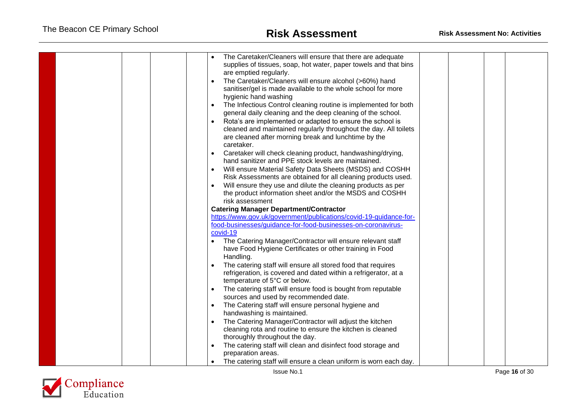|  | The Caretaker/Cleaners will ensure that there are adequate<br>supplies of tissues, soap, hot water, paper towels and that bins<br>are emptied regularly.<br>The Caretaker/Cleaners will ensure alcohol (>60%) hand<br>$\bullet$<br>sanitiser/gel is made available to the whole school for more<br>hygienic hand washing<br>The Infectious Control cleaning routine is implemented for both<br>general daily cleaning and the deep cleaning of the school.<br>Rota's are implemented or adapted to ensure the school is<br>cleaned and maintained regularly throughout the day. All toilets<br>are cleaned after morning break and lunchtime by the<br>caretaker.<br>Caretaker will check cleaning product, handwashing/drying,<br>hand sanitizer and PPE stock levels are maintained.<br>Will ensure Material Safety Data Sheets (MSDS) and COSHH<br>Risk Assessments are obtained for all cleaning products used.<br>Will ensure they use and dilute the cleaning products as per<br>the product information sheet and/or the MSDS and COSHH<br>risk assessment<br><b>Catering Manager Department/Contractor</b><br>https://www.gov.uk/government/publications/covid-19-guidance-for-<br>food-businesses/guidance-for-food-businesses-on-coronavirus-<br>covid-19<br>The Catering Manager/Contractor will ensure relevant staff<br>$\bullet$<br>have Food Hygiene Certificates or other training in Food<br>Handling.<br>The catering staff will ensure all stored food that requires<br>refrigeration, is covered and dated within a refrigerator, at a<br>temperature of 5°C or below.<br>The catering staff will ensure food is bought from reputable<br>sources and used by recommended date.<br>The Catering staff will ensure personal hygiene and<br>$\bullet$<br>handwashing is maintained.<br>The Catering Manager/Contractor will adjust the kitchen<br>cleaning rota and routine to ensure the kitchen is cleaned<br>thoroughly throughout the day. |  |  |  |
|--|------------------------------------------------------------------------------------------------------------------------------------------------------------------------------------------------------------------------------------------------------------------------------------------------------------------------------------------------------------------------------------------------------------------------------------------------------------------------------------------------------------------------------------------------------------------------------------------------------------------------------------------------------------------------------------------------------------------------------------------------------------------------------------------------------------------------------------------------------------------------------------------------------------------------------------------------------------------------------------------------------------------------------------------------------------------------------------------------------------------------------------------------------------------------------------------------------------------------------------------------------------------------------------------------------------------------------------------------------------------------------------------------------------------------------------------------------------------------------------------------------------------------------------------------------------------------------------------------------------------------------------------------------------------------------------------------------------------------------------------------------------------------------------------------------------------------------------------------------------------------------------------------------------------------------------------------------------------|--|--|--|
|  |                                                                                                                                                                                                                                                                                                                                                                                                                                                                                                                                                                                                                                                                                                                                                                                                                                                                                                                                                                                                                                                                                                                                                                                                                                                                                                                                                                                                                                                                                                                                                                                                                                                                                                                                                                                                                                                                                                                                                                  |  |  |  |
|  | The catering staff will clean and disinfect food storage and                                                                                                                                                                                                                                                                                                                                                                                                                                                                                                                                                                                                                                                                                                                                                                                                                                                                                                                                                                                                                                                                                                                                                                                                                                                                                                                                                                                                                                                                                                                                                                                                                                                                                                                                                                                                                                                                                                     |  |  |  |
|  | preparation areas.<br>The catering staff will ensure a clean uniform is worn each day.                                                                                                                                                                                                                                                                                                                                                                                                                                                                                                                                                                                                                                                                                                                                                                                                                                                                                                                                                                                                                                                                                                                                                                                                                                                                                                                                                                                                                                                                                                                                                                                                                                                                                                                                                                                                                                                                           |  |  |  |

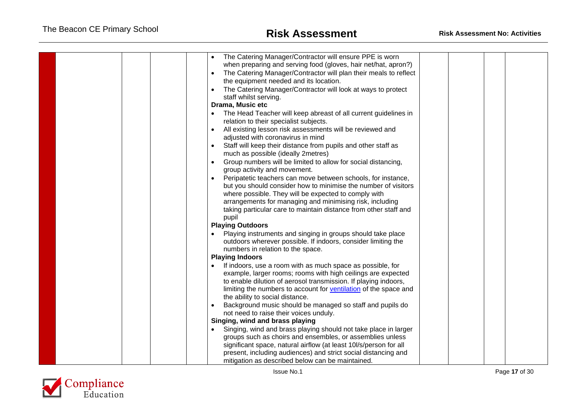| The Catering Manager/Contractor will ensure PPE is worn<br>when preparing and serving food (gloves, hair net/hat, apron?)<br>The Catering Manager/Contractor will plan their meals to reflect<br>the equipment needed and its location.<br>The Catering Manager/Contractor will look at ways to protect<br>staff whilst serving.<br>Drama, Music etc<br>The Head Teacher will keep abreast of all current guidelines in<br>relation to their specialist subjects.<br>All existing lesson risk assessments will be reviewed and<br>adjusted with coronavirus in mind<br>Staff will keep their distance from pupils and other staff as |  |
|--------------------------------------------------------------------------------------------------------------------------------------------------------------------------------------------------------------------------------------------------------------------------------------------------------------------------------------------------------------------------------------------------------------------------------------------------------------------------------------------------------------------------------------------------------------------------------------------------------------------------------------|--|
| much as possible (ideally 2metres)                                                                                                                                                                                                                                                                                                                                                                                                                                                                                                                                                                                                   |  |
| Group numbers will be limited to allow for social distancing,<br>group activity and movement.                                                                                                                                                                                                                                                                                                                                                                                                                                                                                                                                        |  |
| Peripatetic teachers can move between schools, for instance,                                                                                                                                                                                                                                                                                                                                                                                                                                                                                                                                                                         |  |
| but you should consider how to minimise the number of visitors                                                                                                                                                                                                                                                                                                                                                                                                                                                                                                                                                                       |  |
| where possible. They will be expected to comply with<br>arrangements for managing and minimising risk, including                                                                                                                                                                                                                                                                                                                                                                                                                                                                                                                     |  |
| taking particular care to maintain distance from other staff and                                                                                                                                                                                                                                                                                                                                                                                                                                                                                                                                                                     |  |
| pupil                                                                                                                                                                                                                                                                                                                                                                                                                                                                                                                                                                                                                                |  |
| <b>Playing Outdoors</b>                                                                                                                                                                                                                                                                                                                                                                                                                                                                                                                                                                                                              |  |
| Playing instruments and singing in groups should take place<br>outdoors wherever possible. If indoors, consider limiting the<br>numbers in relation to the space.                                                                                                                                                                                                                                                                                                                                                                                                                                                                    |  |
| <b>Playing Indoors</b>                                                                                                                                                                                                                                                                                                                                                                                                                                                                                                                                                                                                               |  |
| If indoors, use a room with as much space as possible, for                                                                                                                                                                                                                                                                                                                                                                                                                                                                                                                                                                           |  |
| example, larger rooms; rooms with high ceilings are expected<br>to enable dilution of aerosol transmission. If playing indoors,<br>limiting the numbers to account for ventilation of the space and<br>the ability to social distance.                                                                                                                                                                                                                                                                                                                                                                                               |  |
| Background music should be managed so staff and pupils do                                                                                                                                                                                                                                                                                                                                                                                                                                                                                                                                                                            |  |
| not need to raise their voices unduly.                                                                                                                                                                                                                                                                                                                                                                                                                                                                                                                                                                                               |  |
| Singing, wind and brass playing                                                                                                                                                                                                                                                                                                                                                                                                                                                                                                                                                                                                      |  |
| Singing, wind and brass playing should not take place in larger                                                                                                                                                                                                                                                                                                                                                                                                                                                                                                                                                                      |  |
| groups such as choirs and ensembles, or assemblies unless<br>significant space, natural airflow (at least 10l/s/person for all                                                                                                                                                                                                                                                                                                                                                                                                                                                                                                       |  |
| present, including audiences) and strict social distancing and                                                                                                                                                                                                                                                                                                                                                                                                                                                                                                                                                                       |  |
| mitigation as described below can be maintained.                                                                                                                                                                                                                                                                                                                                                                                                                                                                                                                                                                                     |  |

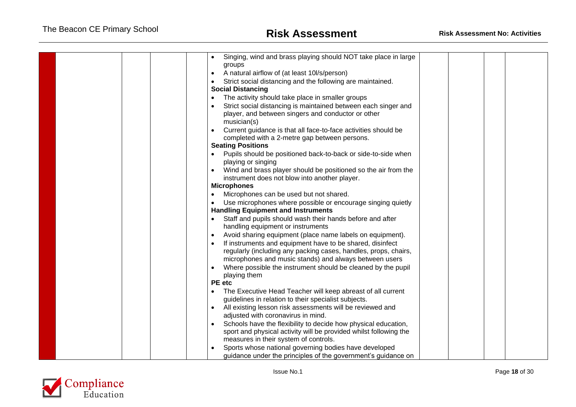|  | Singing, wind and brass playing should NOT take place in large                                                      |  |  |
|--|---------------------------------------------------------------------------------------------------------------------|--|--|
|  | groups                                                                                                              |  |  |
|  | A natural airflow of (at least 10l/s/person)                                                                        |  |  |
|  | Strict social distancing and the following are maintained.                                                          |  |  |
|  | <b>Social Distancing</b>                                                                                            |  |  |
|  | The activity should take place in smaller groups                                                                    |  |  |
|  | Strict social distancing is maintained between each singer and                                                      |  |  |
|  | player, and between singers and conductor or other                                                                  |  |  |
|  | musician(s)                                                                                                         |  |  |
|  | Current guidance is that all face-to-face activities should be                                                      |  |  |
|  | completed with a 2-metre gap between persons.                                                                       |  |  |
|  | <b>Seating Positions</b>                                                                                            |  |  |
|  | Pupils should be positioned back-to-back or side-to-side when<br>playing or singing                                 |  |  |
|  | Wind and brass player should be positioned so the air from the                                                      |  |  |
|  | instrument does not blow into another player.                                                                       |  |  |
|  | <b>Microphones</b>                                                                                                  |  |  |
|  | Microphones can be used but not shared.                                                                             |  |  |
|  | Use microphones where possible or encourage singing quietly                                                         |  |  |
|  | <b>Handling Equipment and Instruments</b>                                                                           |  |  |
|  | Staff and pupils should wash their hands before and after                                                           |  |  |
|  | handling equipment or instruments                                                                                   |  |  |
|  | Avoid sharing equipment (place name labels on equipment).                                                           |  |  |
|  | If instruments and equipment have to be shared, disinfect                                                           |  |  |
|  | regularly (including any packing cases, handles, props, chairs,                                                     |  |  |
|  | microphones and music stands) and always between users                                                              |  |  |
|  | Where possible the instrument should be cleaned by the pupil                                                        |  |  |
|  | playing them                                                                                                        |  |  |
|  | <b>PE</b> etc                                                                                                       |  |  |
|  | The Executive Head Teacher will keep abreast of all current<br>guidelines in relation to their specialist subjects. |  |  |
|  | All existing lesson risk assessments will be reviewed and<br>$\bullet$                                              |  |  |
|  | adjusted with coronavirus in mind.                                                                                  |  |  |
|  | Schools have the flexibility to decide how physical education,                                                      |  |  |
|  | sport and physical activity will be provided whilst following the                                                   |  |  |
|  | measures in their system of controls.                                                                               |  |  |
|  | Sports whose national governing bodies have developed                                                               |  |  |
|  | guidance under the principles of the government's guidance on                                                       |  |  |

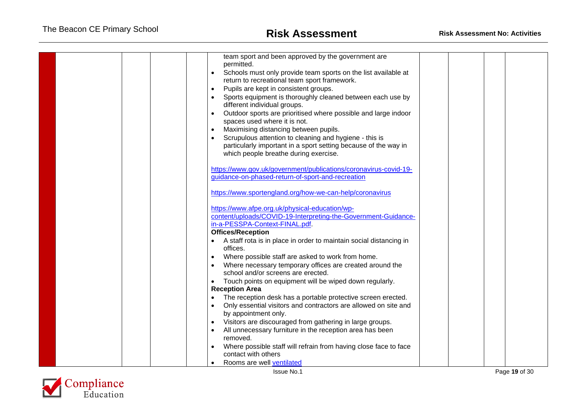| team sport and been approved by the government are<br>permitted.<br>Schools must only provide team sports on the list available at<br>$\bullet$<br>return to recreational team sport framework.<br>Pupils are kept in consistent groups.<br>$\bullet$<br>Sports equipment is thoroughly cleaned between each use by<br>different individual groups.<br>Outdoor sports are prioritised where possible and large indoor<br>spaces used where it is not.<br>Maximising distancing between pupils.<br>Scrupulous attention to cleaning and hygiene - this is<br>particularly important in a sport setting because of the way in<br>which people breathe during exercise.<br>https://www.gov.uk/government/publications/coronavirus-covid-19-<br>guidance-on-phased-return-of-sport-and-recreation<br>https://www.sportengland.org/how-we-can-help/coronavirus<br>https://www.afpe.org.uk/physical-education/wp-<br>content/uploads/COVID-19-Interpreting-the-Government-Guidance- |  |  |
|-------------------------------------------------------------------------------------------------------------------------------------------------------------------------------------------------------------------------------------------------------------------------------------------------------------------------------------------------------------------------------------------------------------------------------------------------------------------------------------------------------------------------------------------------------------------------------------------------------------------------------------------------------------------------------------------------------------------------------------------------------------------------------------------------------------------------------------------------------------------------------------------------------------------------------------------------------------------------------|--|--|
| <b>Offices/Reception</b><br>A staff rota is in place in order to maintain social distancing in<br>offices.<br>Where possible staff are asked to work from home.<br>Where necessary temporary offices are created around the<br>school and/or screens are erected.<br>Touch points on equipment will be wiped down regularly.<br>$\bullet$                                                                                                                                                                                                                                                                                                                                                                                                                                                                                                                                                                                                                                     |  |  |
| <b>Reception Area</b><br>The reception desk has a portable protective screen erected.<br>Only essential visitors and contractors are allowed on site and<br>by appointment only.<br>Visitors are discouraged from gathering in large groups.<br>$\bullet$<br>All unnecessary furniture in the reception area has been<br>removed.<br>Where possible staff will refrain from having close face to face<br>contact with others<br>Rooms are well ventilated                                                                                                                                                                                                                                                                                                                                                                                                                                                                                                                     |  |  |

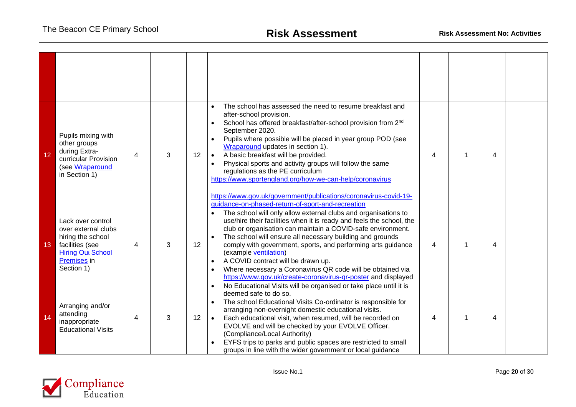| 12 | Pupils mixing with<br>other groups<br>during Extra-<br>curricular Provision<br>(see Wraparound<br>in Section 1)                           | 4 | 3 | 12 | The school has assessed the need to resume breakfast and<br>$\bullet$<br>after-school provision.<br>School has offered breakfast/after-school provision from 2 <sup>nd</sup><br>$\bullet$<br>September 2020.<br>Pupils where possible will be placed in year group POD (see<br>$\bullet$<br>Wraparound updates in section 1).<br>A basic breakfast will be provided.<br>$\bullet$<br>Physical sports and activity groups will follow the same<br>$\bullet$<br>regulations as the PE curriculum<br>https://www.sportengland.org/how-we-can-help/coronavirus<br>https://www.gov.uk/government/publications/coronavirus-covid-19-<br>guidance-on-phased-return-of-sport-and-recreation | 4 |   | 4 |  |
|----|-------------------------------------------------------------------------------------------------------------------------------------------|---|---|----|-------------------------------------------------------------------------------------------------------------------------------------------------------------------------------------------------------------------------------------------------------------------------------------------------------------------------------------------------------------------------------------------------------------------------------------------------------------------------------------------------------------------------------------------------------------------------------------------------------------------------------------------------------------------------------------|---|---|---|--|
| 13 | Lack over control<br>over external clubs<br>hiring the school<br>facilities (see<br><b>Hiring Out School</b><br>Premises in<br>Section 1) | 4 | 3 | 12 | The school will only allow external clubs and organisations to<br>$\bullet$<br>use/hire their facilities when it is ready and feels the school, the<br>club or organisation can maintain a COVID-safe environment.<br>The school will ensure all necessary building and grounds<br>$\bullet$<br>comply with government, sports, and performing arts guidance<br>(example ventilation)<br>A COVID contract will be drawn up.<br>$\bullet$<br>Where necessary a Coronavirus QR code will be obtained via<br>$\bullet$<br>https://www.gov.uk/create-coronavirus-qr-poster and displayed                                                                                                | 4 |   | 4 |  |
| 14 | Arranging and/or<br>attending<br>inappropriate<br><b>Educational Visits</b>                                                               | 4 | 3 | 12 | No Educational Visits will be organised or take place until it is<br>deemed safe to do so.<br>The school Educational Visits Co-ordinator is responsible for<br>$\bullet$<br>arranging non-overnight domestic educational visits.<br>Each educational visit, when resumed, will be recorded on<br>$\bullet$<br>EVOLVE and will be checked by your EVOLVE Officer.<br>(Compliance/Local Authority)<br>EYFS trips to parks and public spaces are restricted to small<br>groups in line with the wider government or local guidance                                                                                                                                                     | 4 | 1 | 4 |  |

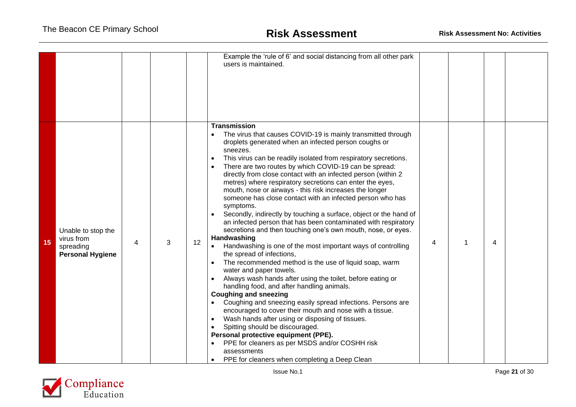|    |                                                                          |   |   |    | Example the 'rule of 6' and social distancing from all other park<br>users is maintained.                                                                                                                                                                                                                                                                                                                                                                                                                                                                                                                                                                                                                                                                                                                                                                                                                                                                                                                                                                                                                                                                                                                                                                                                                                                                                                                                                                                                                                                                          |   |   |                         |  |
|----|--------------------------------------------------------------------------|---|---|----|--------------------------------------------------------------------------------------------------------------------------------------------------------------------------------------------------------------------------------------------------------------------------------------------------------------------------------------------------------------------------------------------------------------------------------------------------------------------------------------------------------------------------------------------------------------------------------------------------------------------------------------------------------------------------------------------------------------------------------------------------------------------------------------------------------------------------------------------------------------------------------------------------------------------------------------------------------------------------------------------------------------------------------------------------------------------------------------------------------------------------------------------------------------------------------------------------------------------------------------------------------------------------------------------------------------------------------------------------------------------------------------------------------------------------------------------------------------------------------------------------------------------------------------------------------------------|---|---|-------------------------|--|
| 15 | Unable to stop the<br>virus from<br>spreading<br><b>Personal Hygiene</b> | 4 | 3 | 12 | <b>Transmission</b><br>The virus that causes COVID-19 is mainly transmitted through<br>$\bullet$<br>droplets generated when an infected person coughs or<br>sneezes.<br>This virus can be readily isolated from respiratory secretions.<br>$\bullet$<br>There are two routes by which COVID-19 can be spread:<br>directly from close contact with an infected person (within 2)<br>metres) where respiratory secretions can enter the eyes,<br>mouth, nose or airways - this risk increases the longer<br>someone has close contact with an infected person who has<br>symptoms.<br>Secondly, indirectly by touching a surface, object or the hand of<br>$\bullet$<br>an infected person that has been contaminated with respiratory<br>secretions and then touching one's own mouth, nose, or eyes.<br>Handwashing<br>Handwashing is one of the most important ways of controlling<br>the spread of infections,<br>The recommended method is the use of liquid soap, warm<br>water and paper towels.<br>Always wash hands after using the toilet, before eating or<br>$\bullet$<br>handling food, and after handling animals.<br><b>Coughing and sneezing</b><br>Coughing and sneezing easily spread infections. Persons are<br>encouraged to cover their mouth and nose with a tissue.<br>Wash hands after using or disposing of tissues.<br>$\bullet$<br>Spitting should be discouraged.<br>Personal protective equipment (PPE).<br>PPE for cleaners as per MSDS and/or COSHH risk<br>assessments<br>PPE for cleaners when completing a Deep Clean<br>$\bullet$ | 4 | 1 | $\overline{\mathbf{4}}$ |  |

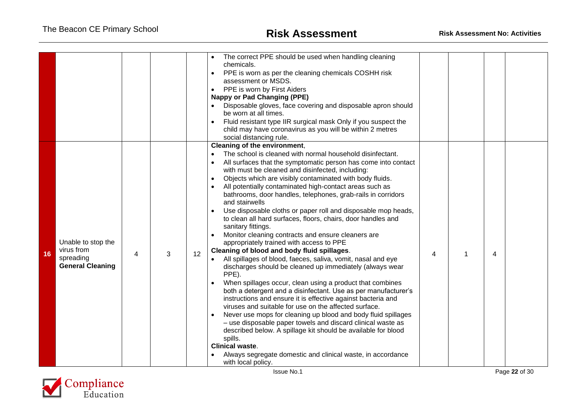|    |                                                                          |   |   |    | The correct PPE should be used when handling cleaning<br>chemicals.<br>PPE is worn as per the cleaning chemicals COSHH risk<br>$\bullet$<br>assessment or MSDS.<br>PPE is worn by First Aiders<br>$\bullet$<br><b>Nappy or Pad Changing (PPE)</b><br>Disposable gloves, face covering and disposable apron should<br>be worn at all times.<br>Fluid resistant type IIR surgical mask Only if you suspect the<br>child may have coronavirus as you will be within 2 metres<br>social distancing rule.                                                                                                                                                                                                                                                                                                                                                                                                                                                                                                                                                                                                                                                                                                                                                                                                                                                                                                                                                                  |   |   |  |
|----|--------------------------------------------------------------------------|---|---|----|-----------------------------------------------------------------------------------------------------------------------------------------------------------------------------------------------------------------------------------------------------------------------------------------------------------------------------------------------------------------------------------------------------------------------------------------------------------------------------------------------------------------------------------------------------------------------------------------------------------------------------------------------------------------------------------------------------------------------------------------------------------------------------------------------------------------------------------------------------------------------------------------------------------------------------------------------------------------------------------------------------------------------------------------------------------------------------------------------------------------------------------------------------------------------------------------------------------------------------------------------------------------------------------------------------------------------------------------------------------------------------------------------------------------------------------------------------------------------|---|---|--|
| 16 | Unable to stop the<br>virus from<br>spreading<br><b>General Cleaning</b> | 4 | 3 | 12 | Cleaning of the environment,<br>The school is cleaned with normal household disinfectant.<br>$\bullet$<br>All surfaces that the symptomatic person has come into contact<br>with must be cleaned and disinfected, including:<br>Objects which are visibly contaminated with body fluids.<br>All potentially contaminated high-contact areas such as<br>bathrooms, door handles, telephones, grab-rails in corridors<br>and stairwells<br>Use disposable cloths or paper roll and disposable mop heads,<br>to clean all hard surfaces, floors, chairs, door handles and<br>sanitary fittings.<br>Monitor cleaning contracts and ensure cleaners are<br>appropriately trained with access to PPE<br>Cleaning of blood and body fluid spillages.<br>All spillages of blood, faeces, saliva, vomit, nasal and eye<br>discharges should be cleaned up immediately (always wear<br>PPE).<br>When spillages occur, clean using a product that combines<br>both a detergent and a disinfectant. Use as per manufacturer's<br>instructions and ensure it is effective against bacteria and<br>viruses and suitable for use on the affected surface.<br>Never use mops for cleaning up blood and body fluid spillages<br>- use disposable paper towels and discard clinical waste as<br>described below. A spillage kit should be available for blood<br>spills.<br><b>Clinical waste.</b><br>Always segregate domestic and clinical waste, in accordance<br>with local policy. | 4 | 4 |  |

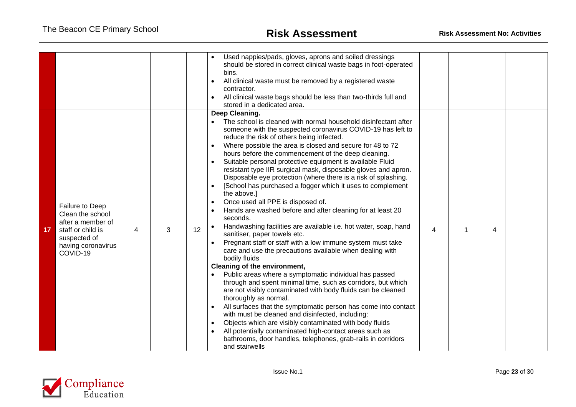|                 |                                                                                                                                 |   |   |    | Used nappies/pads, gloves, aprons and soiled dressings<br>should be stored in correct clinical waste bags in foot-operated<br>bins.<br>All clinical waste must be removed by a registered waste<br>$\bullet$<br>contractor.<br>All clinical waste bags should be less than two-thirds full and<br>stored in a dedicated area.                                                                                                                                                                                                                                                                                                                                                                                                                                                                                                                                                                                                                                                                                                                                                                                                                                                                                                                                                                                                                                                                                                                                                                                                                             |   |   |  |
|-----------------|---------------------------------------------------------------------------------------------------------------------------------|---|---|----|-----------------------------------------------------------------------------------------------------------------------------------------------------------------------------------------------------------------------------------------------------------------------------------------------------------------------------------------------------------------------------------------------------------------------------------------------------------------------------------------------------------------------------------------------------------------------------------------------------------------------------------------------------------------------------------------------------------------------------------------------------------------------------------------------------------------------------------------------------------------------------------------------------------------------------------------------------------------------------------------------------------------------------------------------------------------------------------------------------------------------------------------------------------------------------------------------------------------------------------------------------------------------------------------------------------------------------------------------------------------------------------------------------------------------------------------------------------------------------------------------------------------------------------------------------------|---|---|--|
| 17 <sup>2</sup> | Failure to Deep<br>Clean the school<br>after a member of<br>staff or child is<br>suspected of<br>having coronavirus<br>COVID-19 | 4 | 3 | 12 | Deep Cleaning.<br>The school is cleaned with normal household disinfectant after<br>someone with the suspected coronavirus COVID-19 has left to<br>reduce the risk of others being infected.<br>Where possible the area is closed and secure for 48 to 72<br>hours before the commencement of the deep cleaning.<br>Suitable personal protective equipment is available Fluid<br>resistant type IIR surgical mask, disposable gloves and apron.<br>Disposable eye protection (where there is a risk of splashing.<br>[School has purchased a fogger which it uses to complement<br>the above.]<br>Once used all PPE is disposed of.<br>Hands are washed before and after cleaning for at least 20<br>seconds.<br>Handwashing facilities are available i.e. hot water, soap, hand<br>$\bullet$<br>sanitiser, paper towels etc.<br>Pregnant staff or staff with a low immune system must take<br>care and use the precautions available when dealing with<br>bodily fluids<br>Cleaning of the environment,<br>Public areas where a symptomatic individual has passed<br>through and spent minimal time, such as corridors, but which<br>are not visibly contaminated with body fluids can be cleaned<br>thoroughly as normal.<br>All surfaces that the symptomatic person has come into contact<br>with must be cleaned and disinfected, including:<br>Objects which are visibly contaminated with body fluids<br>All potentially contaminated high-contact areas such as<br>bathrooms, door handles, telephones, grab-rails in corridors<br>and stairwells | 4 | 4 |  |

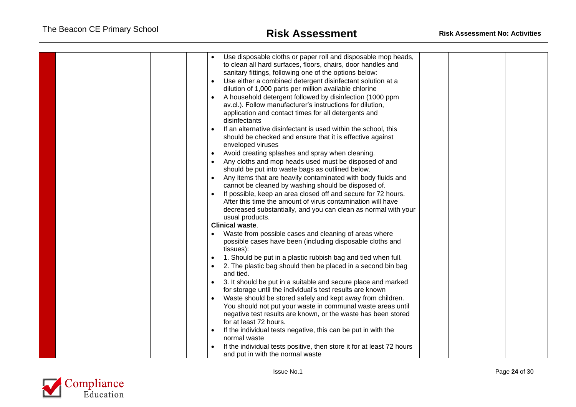|  | Use disposable cloths or paper roll and disposable mop heads,<br>to clean all hard surfaces, floors, chairs, door handles and<br>sanitary fittings, following one of the options below:<br>Use either a combined detergent disinfectant solution at a<br>$\bullet$<br>dilution of 1,000 parts per million available chlorine<br>A household detergent followed by disinfection (1000 ppm<br>$\bullet$<br>av.cl.). Follow manufacturer's instructions for dilution,<br>application and contact times for all detergents and<br>disinfectants<br>If an alternative disinfectant is used within the school, this<br>$\bullet$<br>should be checked and ensure that it is effective against<br>enveloped viruses<br>Avoid creating splashes and spray when cleaning.<br>$\bullet$<br>Any cloths and mop heads used must be disposed of and<br>should be put into waste bags as outlined below.<br>Any items that are heavily contaminated with body fluids and<br>cannot be cleaned by washing should be disposed of.<br>If possible, keep an area closed off and secure for 72 hours.<br>$\bullet$<br>After this time the amount of virus contamination will have<br>decreased substantially, and you can clean as normal with your<br>usual products.<br><b>Clinical waste.</b><br>Waste from possible cases and cleaning of areas where<br>possible cases have been (including disposable cloths and<br>tissues):<br>1. Should be put in a plastic rubbish bag and tied when full.<br>$\bullet$<br>2. The plastic bag should then be placed in a second bin bag<br>and tied.<br>3. It should be put in a suitable and secure place and marked<br>$\bullet$<br>for storage until the individual's test results are known<br>Waste should be stored safely and kept away from children.<br>$\bullet$<br>You should not put your waste in communal waste areas until<br>negative test results are known, or the waste has been stored<br>for at least 72 hours.<br>If the individual tests negative, this can be put in with the<br>$\bullet$ |  |  |
|--|-------------------------------------------------------------------------------------------------------------------------------------------------------------------------------------------------------------------------------------------------------------------------------------------------------------------------------------------------------------------------------------------------------------------------------------------------------------------------------------------------------------------------------------------------------------------------------------------------------------------------------------------------------------------------------------------------------------------------------------------------------------------------------------------------------------------------------------------------------------------------------------------------------------------------------------------------------------------------------------------------------------------------------------------------------------------------------------------------------------------------------------------------------------------------------------------------------------------------------------------------------------------------------------------------------------------------------------------------------------------------------------------------------------------------------------------------------------------------------------------------------------------------------------------------------------------------------------------------------------------------------------------------------------------------------------------------------------------------------------------------------------------------------------------------------------------------------------------------------------------------------------------------------------------------------------------------------------------------------------------------------------------------------------------|--|--|
|  | normal waste                                                                                                                                                                                                                                                                                                                                                                                                                                                                                                                                                                                                                                                                                                                                                                                                                                                                                                                                                                                                                                                                                                                                                                                                                                                                                                                                                                                                                                                                                                                                                                                                                                                                                                                                                                                                                                                                                                                                                                                                                              |  |  |
|  | If the individual tests positive, then store it for at least 72 hours<br>and put in with the normal waste                                                                                                                                                                                                                                                                                                                                                                                                                                                                                                                                                                                                                                                                                                                                                                                                                                                                                                                                                                                                                                                                                                                                                                                                                                                                                                                                                                                                                                                                                                                                                                                                                                                                                                                                                                                                                                                                                                                                 |  |  |

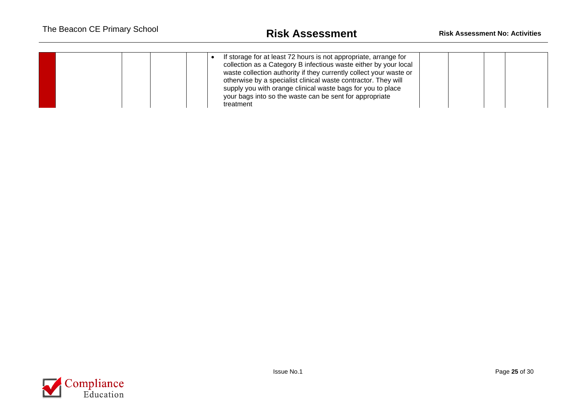| If storage for at least 72 hours is not appropriate, arrange for<br>collection as a Category B infectious waste either by your local<br>waste collection authority if they currently collect your waste or<br>otherwise by a specialist clinical waste contractor. They will<br>supply you with orange clinical waste bags for you to place<br>your bags into so the waste can be sent for appropriate<br>treatment |  |  |  |  |  |
|---------------------------------------------------------------------------------------------------------------------------------------------------------------------------------------------------------------------------------------------------------------------------------------------------------------------------------------------------------------------------------------------------------------------|--|--|--|--|--|
|---------------------------------------------------------------------------------------------------------------------------------------------------------------------------------------------------------------------------------------------------------------------------------------------------------------------------------------------------------------------------------------------------------------------|--|--|--|--|--|

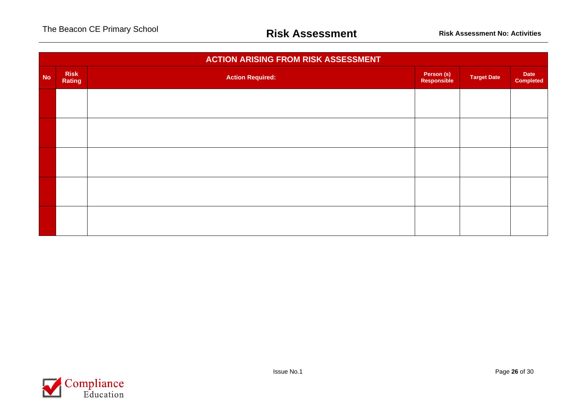|           | <b>ACTION ARISING FROM RISK ASSESSMENT</b> |                         |                           |                    |                          |  |  |  |
|-----------|--------------------------------------------|-------------------------|---------------------------|--------------------|--------------------------|--|--|--|
| <b>No</b> | <b>Risk</b><br>Rating                      | <b>Action Required:</b> | Person (s)<br>Responsible | <b>Target Date</b> | Date<br><b>Completed</b> |  |  |  |
|           |                                            |                         |                           |                    |                          |  |  |  |
|           |                                            |                         |                           |                    |                          |  |  |  |
|           |                                            |                         |                           |                    |                          |  |  |  |
|           |                                            |                         |                           |                    |                          |  |  |  |
|           |                                            |                         |                           |                    |                          |  |  |  |
|           |                                            |                         |                           |                    |                          |  |  |  |

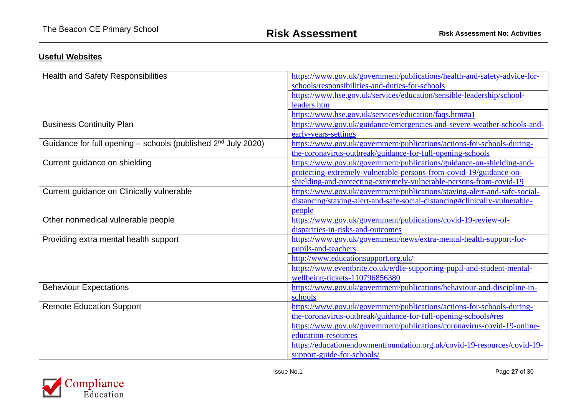## **Useful Websites**

| <b>Health and Safety Responsibilities</b>                         | https://www.gov.uk/government/publications/health-and-safety-advice-for-   |  |  |  |
|-------------------------------------------------------------------|----------------------------------------------------------------------------|--|--|--|
|                                                                   | schools/responsibilities-and-duties-for-schools                            |  |  |  |
|                                                                   | https://www.hse.gov.uk/services/education/sensible-leadership/school-      |  |  |  |
|                                                                   | leaders.htm                                                                |  |  |  |
|                                                                   | https://www.hse.gov.uk/services/education/faqs.htm#a1                      |  |  |  |
| <b>Business Continuity Plan</b>                                   | https://www.gov.uk/guidance/emergencies-and-severe-weather-schools-and-    |  |  |  |
|                                                                   | early-years-settings                                                       |  |  |  |
| Guidance for full opening $-$ schools (published $2nd$ July 2020) | https://www.gov.uk/government/publications/actions-for-schools-during-     |  |  |  |
|                                                                   | the-coronavirus-outbreak/guidance-for-full-opening-schools                 |  |  |  |
| Current guidance on shielding                                     | https://www.gov.uk/government/publications/guidance-on-shielding-and-      |  |  |  |
|                                                                   | protecting-extremely-vulnerable-persons-from-covid-19/guidance-on-         |  |  |  |
|                                                                   | shielding-and-protecting-extremely-vulnerable-persons-from-covid-19        |  |  |  |
| Current guidance on Clinically vulnerable                         | https://www.gov.uk/government/publications/staying-alert-and-safe-social-  |  |  |  |
|                                                                   | distancing/staying-alert-and-safe-social-distancing#clinically-vulnerable- |  |  |  |
|                                                                   | people                                                                     |  |  |  |
| Other nonmedical vulnerable people                                | https://www.gov.uk/government/publications/covid-19-review-of-             |  |  |  |
|                                                                   | disparities-in-risks-and-outcomes                                          |  |  |  |
| Providing extra mental health support                             | https://www.gov.uk/government/news/extra-mental-health-support-for-        |  |  |  |
|                                                                   | pupils-and-teachers                                                        |  |  |  |
|                                                                   | http://www.educationsupport.org.uk/                                        |  |  |  |
|                                                                   | https://www.eventbrite.co.uk/e/dfe-supporting-pupil-and-student-mental-    |  |  |  |
|                                                                   | wellbeing-tickets-110796856380                                             |  |  |  |
| <b>Behaviour Expectations</b>                                     | https://www.gov.uk/government/publications/behaviour-and-discipline-in-    |  |  |  |
|                                                                   | schools                                                                    |  |  |  |
| <b>Remote Education Support</b>                                   | https://www.gov.uk/government/publications/actions-for-schools-during-     |  |  |  |
|                                                                   | the-coronavirus-outbreak/guidance-for-full-opening-schools#res             |  |  |  |
|                                                                   | https://www.gov.uk/government/publications/coronavirus-covid-19-online-    |  |  |  |
|                                                                   | education-resources                                                        |  |  |  |
|                                                                   | https://educationendowmentfoundation.org.uk/covid-19-resources/covid-19-   |  |  |  |
|                                                                   | support-guide-for-schools/                                                 |  |  |  |

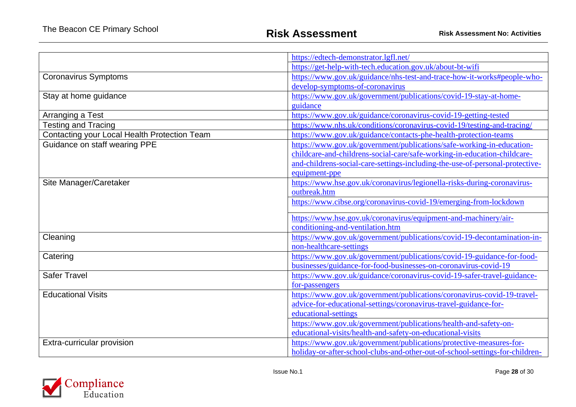|                                              | https://edtech-demonstrator.lgfl.net/                                        |
|----------------------------------------------|------------------------------------------------------------------------------|
|                                              | https://get-help-with-tech.education.gov.uk/about-bt-wifi                    |
| <b>Coronavirus Symptoms</b>                  | https://www.gov.uk/guidance/nhs-test-and-trace-how-it-works#people-who-      |
|                                              | develop-symptoms-of-coronavirus                                              |
| Stay at home guidance                        | https://www.gov.uk/government/publications/covid-19-stay-at-home-            |
|                                              | guidance                                                                     |
| Arranging a Test                             | https://www.gov.uk/guidance/coronavirus-covid-19-getting-tested              |
|                                              | https://www.nhs.uk/conditions/coronavirus-covid-19/testing-and-tracing/      |
| Testing and Tracing                          |                                                                              |
| Contacting your Local Health Protection Team | https://www.gov.uk/guidance/contacts-phe-health-protection-teams             |
| Guidance on staff wearing PPE                | https://www.gov.uk/government/publications/safe-working-in-education-        |
|                                              | childcare-and-childrens-social-care/safe-working-in-education-childcare-     |
|                                              | and-childrens-social-care-settings-including-the-use-of-personal-protective- |
|                                              | equipment-ppe                                                                |
| Site Manager/Caretaker                       | https://www.hse.gov.uk/coronavirus/legionella-risks-during-coronavirus-      |
|                                              | outbreak.htm                                                                 |
|                                              | https://www.cibse.org/coronavirus-covid-19/emerging-from-lockdown            |
|                                              | https://www.hse.gov.uk/coronavirus/equipment-and-machinery/air-              |
|                                              | conditioning-and-ventilation.htm                                             |
| Cleaning                                     | https://www.gov.uk/government/publications/covid-19-decontamination-in-      |
|                                              | non-healthcare-settings                                                      |
| Catering                                     | https://www.gov.uk/government/publications/covid-19-guidance-for-food-       |
|                                              | businesses/guidance-for-food-businesses-on-coronavirus-covid-19              |
| <b>Safer Travel</b>                          | https://www.gov.uk/guidance/coronavirus-covid-19-safer-travel-guidance-      |
|                                              | for-passengers                                                               |
| <b>Educational Visits</b>                    | https://www.gov.uk/government/publications/coronavirus-covid-19-travel-      |
|                                              | advice-for-educational-settings/coronavirus-travel-guidance-for-             |
|                                              | educational-settings                                                         |
|                                              | https://www.gov.uk/government/publications/health-and-safety-on-             |
|                                              | educational-visits/health-and-safety-on-educational-visits                   |
| Extra-curricular provision                   | https://www.gov.uk/government/publications/protective-measures-for-          |
|                                              | holiday-or-after-school-clubs-and-other-out-of-school-settings-for-children- |

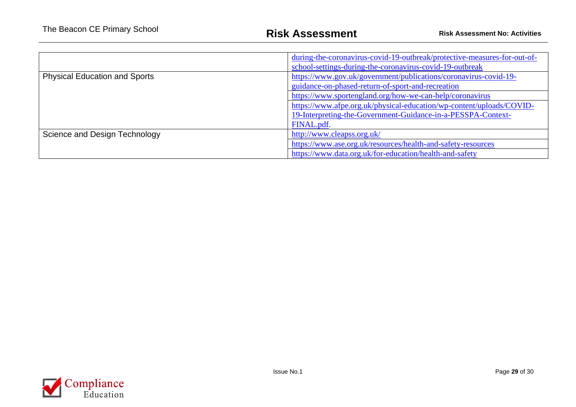|                                      | during-the-coronavirus-covid-19-outbreak/protective-measures-for-out-of-<br>school-settings-during-the-coronavirus-covid-19-outbreak |  |  |
|--------------------------------------|--------------------------------------------------------------------------------------------------------------------------------------|--|--|
| <b>Physical Education and Sports</b> | https://www.gov.uk/government/publications/coronavirus-covid-19-                                                                     |  |  |
|                                      | guidance-on-phased-return-of-sport-and-recreation                                                                                    |  |  |
|                                      | https://www.sportengland.org/how-we-can-help/coronavirus                                                                             |  |  |
|                                      | https://www.afpe.org.uk/physical-education/wp-content/uploads/COVID-                                                                 |  |  |
|                                      | 19-Interpreting-the-Government-Guidance-in-a-PESSPA-Context-                                                                         |  |  |
|                                      | FINAL.pdf.                                                                                                                           |  |  |
| Science and Design Technology        | http://www.cleapss.org.uk/                                                                                                           |  |  |
|                                      | https://www.ase.org.uk/resources/health-and-safety-resources                                                                         |  |  |
|                                      | https://www.data.org.uk/for-education/health-and-safety                                                                              |  |  |